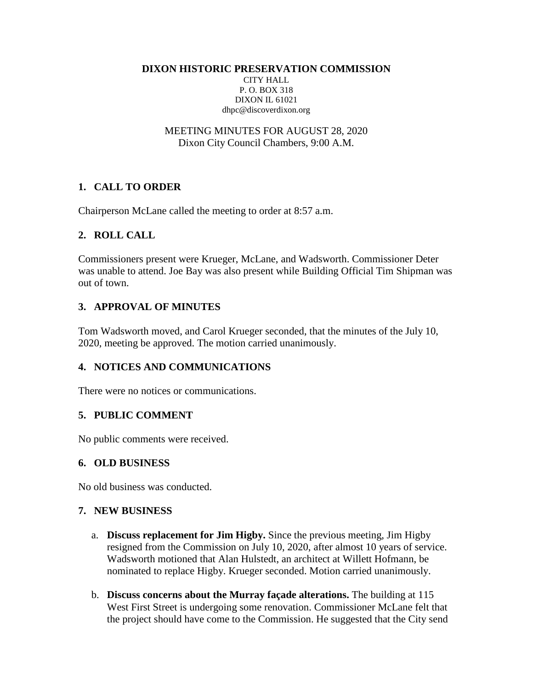**DIXON HISTORIC PRESERVATION COMMISSION**

CITY HALL P. O. BOX 318 DIXON IL 61021 dhpc@discoverdixon.org

MEETING MINUTES FOR AUGUST 28, 2020 Dixon City Council Chambers, 9:00 A.M.

# **1. CALL TO ORDER**

Chairperson McLane called the meeting to order at 8:57 a.m.

# **2. ROLL CALL**

Commissioners present were Krueger, McLane, and Wadsworth. Commissioner Deter was unable to attend. Joe Bay was also present while Building Official Tim Shipman was out of town.

# **3. APPROVAL OF MINUTES**

Tom Wadsworth moved, and Carol Krueger seconded, that the minutes of the July 10, 2020, meeting be approved. The motion carried unanimously.

# **4. NOTICES AND COMMUNICATIONS**

There were no notices or communications.

### **5. PUBLIC COMMENT**

No public comments were received.

#### **6. OLD BUSINESS**

No old business was conducted.

### **7. NEW BUSINESS**

- a. **Discuss replacement for Jim Higby.** Since the previous meeting, Jim Higby resigned from the Commission on July 10, 2020, after almost 10 years of service. Wadsworth motioned that Alan Hulstedt, an architect at Willett Hofmann, be nominated to replace Higby. Krueger seconded. Motion carried unanimously.
- b. **Discuss concerns about the Murray façade alterations.** The building at 115 West First Street is undergoing some renovation. Commissioner McLane felt that the project should have come to the Commission. He suggested that the City send